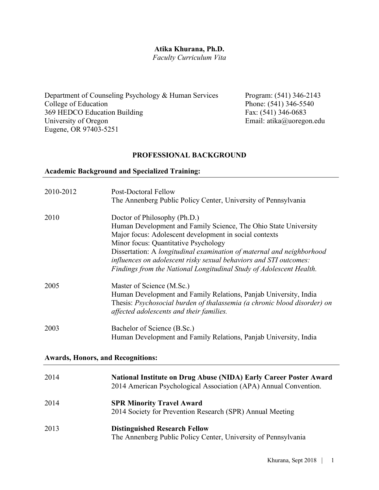#### **Atika Khurana, Ph.D.**

*Faculty Curriculum Vita*

Department of Counseling Psychology & Human Services Program: (541) 346-2143 College of Education<br>
369 HEDCO Education Building<br>
Fax: (541) 346-0683 369 HEDCO Education Building<br>University of Oregon Eugene, OR 97403-5251

Email: atika@uoregon.edu

### **PROFESSIONAL BACKGROUND**

## **Academic Background and Specialized Training:**

| 2010-2012 | <b>Post-Doctoral Fellow</b><br>The Annenberg Public Policy Center, University of Pennsylvania                                                                                                                                                                                                                                                                                                                          |
|-----------|------------------------------------------------------------------------------------------------------------------------------------------------------------------------------------------------------------------------------------------------------------------------------------------------------------------------------------------------------------------------------------------------------------------------|
| 2010      | Doctor of Philosophy (Ph.D.)<br>Human Development and Family Science, The Ohio State University<br>Major focus: Adolescent development in social contexts<br>Minor focus: Quantitative Psychology<br>Dissertation: A longitudinal examination of maternal and neighborhood<br>influences on adolescent risky sexual behaviors and STI outcomes:<br>Findings from the National Longitudinal Study of Adolescent Health. |
| 2005      | Master of Science (M.Sc.)<br>Human Development and Family Relations, Panjab University, India<br>Thesis: Psychosocial burden of thalassemia (a chronic blood disorder) on<br>affected adolescents and their families.                                                                                                                                                                                                  |
| 2003      | Bachelor of Science (B.Sc.)<br>Human Development and Family Relations, Panjab University, India                                                                                                                                                                                                                                                                                                                        |

### **Awards, Honors, and Recognitions:**

| 2014 | <b>National Institute on Drug Abuse (NIDA) Early Career Poster Award</b><br>2014 American Psychological Association (APA) Annual Convention. |
|------|----------------------------------------------------------------------------------------------------------------------------------------------|
| 2014 | <b>SPR Minority Travel Award</b><br>2014 Society for Prevention Research (SPR) Annual Meeting                                                |
| 2013 | <b>Distinguished Research Fellow</b><br>The Annenberg Public Policy Center, University of Pennsylvania                                       |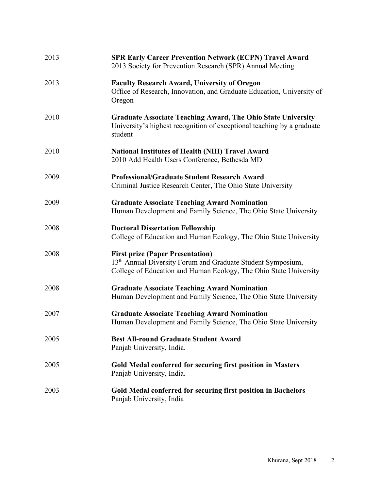| 2013 | <b>SPR Early Career Prevention Network (ECPN) Travel Award</b><br>2013 Society for Prevention Research (SPR) Annual Meeting                                                             |
|------|-----------------------------------------------------------------------------------------------------------------------------------------------------------------------------------------|
| 2013 | <b>Faculty Research Award, University of Oregon</b><br>Office of Research, Innovation, and Graduate Education, University of<br>Oregon                                                  |
| 2010 | <b>Graduate Associate Teaching Award, The Ohio State University</b><br>University's highest recognition of exceptional teaching by a graduate<br>student                                |
| 2010 | <b>National Institutes of Health (NIH) Travel Award</b><br>2010 Add Health Users Conference, Bethesda MD                                                                                |
| 2009 | <b>Professional/Graduate Student Research Award</b><br>Criminal Justice Research Center, The Ohio State University                                                                      |
| 2009 | <b>Graduate Associate Teaching Award Nomination</b><br>Human Development and Family Science, The Ohio State University                                                                  |
| 2008 | <b>Doctoral Dissertation Fellowship</b><br>College of Education and Human Ecology, The Ohio State University                                                                            |
| 2008 | <b>First prize (Paper Presentation)</b><br>13 <sup>th</sup> Annual Diversity Forum and Graduate Student Symposium,<br>College of Education and Human Ecology, The Ohio State University |
| 2008 | <b>Graduate Associate Teaching Award Nomination</b><br>Human Development and Family Science, The Ohio State University                                                                  |
| 2007 | <b>Graduate Associate Teaching Award Nomination</b><br>Human Development and Family Science, The Ohio State University                                                                  |
| 2005 | <b>Best All-round Graduate Student Award</b><br>Panjab University, India.                                                                                                               |
| 2005 | Gold Medal conferred for securing first position in Masters<br>Panjab University, India.                                                                                                |
| 2003 | Gold Medal conferred for securing first position in Bachelors<br>Panjab University, India                                                                                               |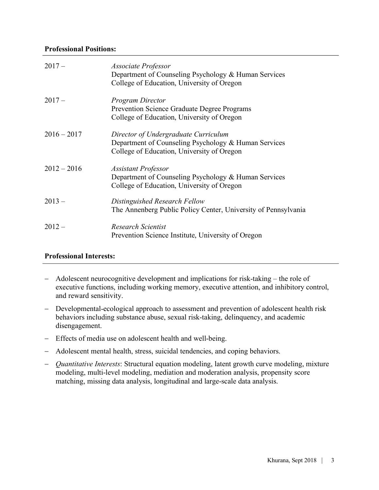### **Professional Positions:**

| $2017 -$      | Associate Professor<br>Department of Counseling Psychology & Human Services<br>College of Education, University of Oregon                  |
|---------------|--------------------------------------------------------------------------------------------------------------------------------------------|
| $2017 -$      | <b>Program Director</b><br><b>Prevention Science Graduate Degree Programs</b><br>College of Education, University of Oregon                |
| $2016 - 2017$ | Director of Undergraduate Curriculum<br>Department of Counseling Psychology & Human Services<br>College of Education, University of Oregon |
| $2012 - 2016$ | <b>Assistant Professor</b><br>Department of Counseling Psychology & Human Services<br>College of Education, University of Oregon           |
| $2013 -$      | Distinguished Research Fellow<br>The Annenberg Public Policy Center, University of Pennsylvania                                            |
| $2012-$       | Research Scientist<br>Prevention Science Institute, University of Oregon                                                                   |

### **Professional Interests:**

- Adolescent neurocognitive development and implications for risk-taking the role of executive functions, including working memory, executive attention, and inhibitory control, and reward sensitivity.
- Developmental-ecological approach to assessment and prevention of adolescent health risk behaviors including substance abuse, sexual risk-taking, delinquency, and academic disengagement.
- Effects of media use on adolescent health and well-being.
- Adolescent mental health, stress, suicidal tendencies, and coping behaviors.
- *Quantitative Interests*: Structural equation modeling, latent growth curve modeling, mixture modeling, multi-level modeling, mediation and moderation analysis, propensity score matching, missing data analysis, longitudinal and large-scale data analysis.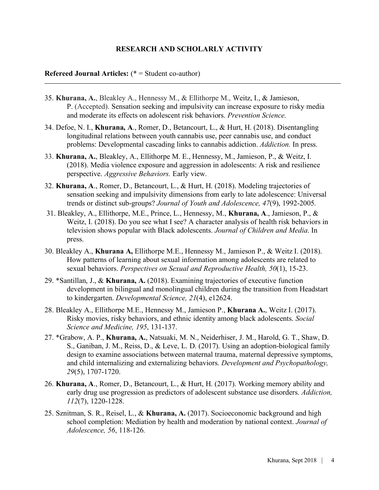### **RESEARCH AND SCHOLARLY ACTIVITY**

### **Refereed Journal Articles:** (\* = Student co-author)

- 35. **Khurana, A.**, Bleakley A., Hennessy M., & Ellithorpe M., Weitz, I., & Jamieson, P. (Accepted). Sensation seeking and impulsivity can increase exposure to risky media and moderate its effects on adolescent risk behaviors. *Prevention Science.*
- 34. Defoe, N. I., **Khurana, A**., Romer, D., Betancourt, L., & Hurt, H. (2018). Disentangling longitudinal relations between youth cannabis use, peer cannabis use, and conduct problems: Developmental cascading links to cannabis addiction. *Addiction.* In press.
- 33. **Khurana, A.**, Bleakley, A., Ellithorpe M. E., Hennessy, M., Jamieson, P., & Weitz, I. (2018). Media violence exposure and aggression in adolescents: A risk and resilience perspective. *Aggressive Behaviors.* Early view.
- 32. **Khurana, A**., Romer, D., Betancourt, L., & Hurt, H. (2018). Modeling trajectories of sensation seeking and impulsivity dimensions from early to late adolescence: Universal trends or distinct sub-groups? *Journal of Youth and Adolescence, 47*(9), 1992-2005*.*
- 31. Bleakley, A., Ellithorpe, M.E., Prince, L., Hennessy, M., **Khurana, A**., Jamieson, P., & Weitz, I. (2018). Do you see what I see? A character analysis of health risk behaviors in television shows popular with Black adolescents. *Journal of Children and Media*. In press.
- 30. Bleakley A., **Khurana A,** Ellithorpe M.E., Hennessy M., Jamieson P., & Weitz I. (2018). How patterns of learning about sexual information among adolescents are related to sexual behaviors. *Perspectives on Sexual and Reproductive Health, 50*(1), 15-23.
- 29. \*Santillan, J., & **Khurana, A.** (2018). Examining trajectories of executive function development in bilingual and monolingual children during the transition from Headstart to kindergarten. *Developmental Science, 21*(4), e12624.
- 28. Bleakley A., Ellithorpe M.E., Hennessy M., Jamieson P., **Khurana A.**, Weitz I. (2017). Risky movies, risky behaviors, and ethnic identity among black adolescents. *Social Science and Medicine, 195*, 131-137.
- 27. \*Grabow, A. P., **Khurana, A.**, Natsuaki, M. N., Neiderhiser, J. M., Harold, G. T., Shaw, D. S., Ganiban, J. M., Reiss, D., & Leve, L. D. (2017). Using an adoption-biological family design to examine associations between maternal trauma, maternal depressive symptoms, and child internalizing and externalizing behaviors. *Development and Psychopathology, 29*(5), 1707-1720.
- 26. **Khurana, A**., Romer, D., Betancourt, L., & Hurt, H. (2017). Working memory ability and early drug use progression as predictors of adolescent substance use disorders. *Addiction, 112*(7), 1220-1228.
- 25. Sznitman, S. R., Reisel, L., & **Khurana, A.** (2017). Socioeconomic background and high school completion: Mediation by health and moderation by national context. *Journal of Adolescence, 56*, 118-126*.*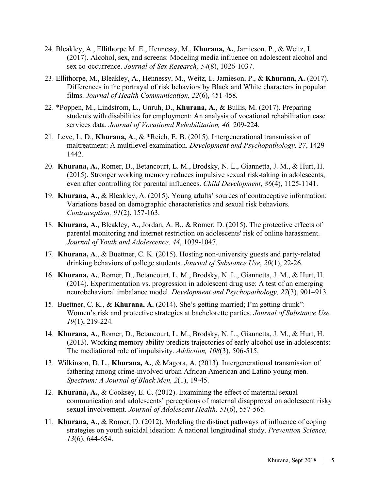- 24. Bleakley, A., Ellithorpe M. E., Hennessy, M., **Khurana, A.**, Jamieson, P., & Weitz, I. (2017). Alcohol, sex, and screens: Modeling media influence on adolescent alcohol and sex co-occurrence. *Journal of Sex Research, 54*(8), 1026-1037.
- 23. Ellithorpe, M., Bleakley, A., Hennessy, M., Weitz, I., Jamieson, P., & **Khurana, A.** (2017). Differences in the portrayal of risk behaviors by Black and White characters in popular films. *Journal of Health Communication, 22*(6), 451-458*.*
- 22. \*Poppen, M., Lindstrom, L., Unruh, D., **Khurana, A.**, & Bullis, M. (2017). Preparing students with disabilities for employment: An analysis of vocational rehabilitation case services data. *Journal of Vocational Rehabilitation, 46,* 209-224*.*
- 21. Leve, L. D., **Khurana, A**., & \*Reich, E. B. (2015). Intergenerational transmission of maltreatment: A multilevel examination. *Development and Psychopathology, 27*, 1429- 1442*.*
- 20. **Khurana, A.**, Romer, D., Betancourt, L. M., Brodsky, N. L., Giannetta, J. M., & Hurt, H. (2015). Stronger working memory reduces impulsive sexual risk-taking in adolescents, even after controlling for parental influences. *Child Development*, *86*(4), 1125-1141.
- 19. **Khurana, A.**, & Bleakley, A. (2015). Young adults' sources of contraceptive information: Variations based on demographic characteristics and sexual risk behaviors. *Contraception, 91*(2), 157-163.
- 18. **Khurana, A.**, Bleakley, A., Jordan, A. B., & Romer, D. (2015). The protective effects of parental monitoring and internet restriction on adolescents' risk of online harassment. *Journal of Youth and Adolescence, 44*, 1039-1047.
- 17. **Khurana, A**., & Buettner, C. K. (2015). Hosting non-university guests and party-related drinking behaviors of college students. *Journal of Substance Use*, *20*(1), 22-26.
- 16. **Khurana, A.**, Romer, D., Betancourt, L. M., Brodsky, N. L., Giannetta, J. M., & Hurt, H. (2014). Experimentation vs. progression in adolescent drug use: A test of an emerging neurobehavioral imbalance model. *Development and Psychopathology, 27*(3), 901–913.
- 15. Buettner, C. K., & **Khurana, A.** (2014). She's getting married; I'm getting drunk": Women's risk and protective strategies at bachelorette parties. *Journal of Substance Use, 19*(1), 219-224*.*
- 14. **Khurana, A.**, Romer, D., Betancourt, L. M., Brodsky, N. L., Giannetta, J. M., & Hurt, H. (2013). Working memory ability predicts trajectories of early alcohol use in adolescents: The mediational role of impulsivity. *Addiction, 108*(3), 506-515.
- 13. Wilkinson, D. L., **Khurana, A.**, & Magora, A. (2013). Intergenerational transmission of fathering among crime-involved urban African American and Latino young men. *Spectrum: A Journal of Black Men, 2*(1), 19-45.
- 12. **Khurana, A.**, & Cooksey, E. C. (2012). Examining the effect of maternal sexual communication and adolescents' perceptions of maternal disapproval on adolescent risky sexual involvement. *Journal of Adolescent Health, 51*(6), 557-565.
- 11. **Khurana, A**., & Romer, D. (2012). Modeling the distinct pathways of influence of coping strategies on youth suicidal ideation: A national longitudinal study. *Prevention Science, 13*(6), 644-654.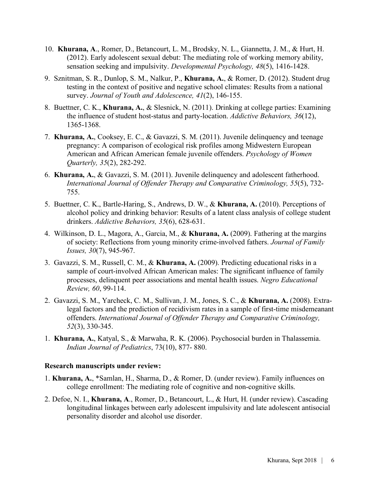- 10. **Khurana, A**., Romer, D., Betancourt, L. M., Brodsky, N. L., Giannetta, J. M., & Hurt, H. (2012). Early adolescent sexual debut: The mediating role of working memory ability, sensation seeking and impulsivity. *Developmental Psychology, 48*(5), 1416-1428.
- 9. Sznitman, S. R., Dunlop, S. M., Nalkur, P., **Khurana, A.**, & Romer, D. (2012). Student drug testing in the context of positive and negative school climates: Results from a national survey. *Journal of Youth and Adolescence, 41*(2), 146-155.
- 8. Buettner, C. K., **Khurana, A.**, & Slesnick, N. (2011). Drinking at college parties: Examining the influence of student host-status and party-location. *Addictive Behaviors, 36*(12), 1365-1368.
- 7. **Khurana, A.**, Cooksey, E. C., & Gavazzi, S. M. (2011). Juvenile delinquency and teenage pregnancy: A comparison of ecological risk profiles among Midwestern European American and African American female juvenile offenders. *Psychology of Women Quarterly, 35*(2), 282-292.
- 6. **Khurana, A.**, & Gavazzi, S. M. (2011). Juvenile delinquency and adolescent fatherhood. *International Journal of Offender Therapy and Comparative Criminology, 55*(5), 732- 755.
- 5. Buettner, C. K., Bartle-Haring, S., Andrews, D. W., & **Khurana, A.** (2010). Perceptions of alcohol policy and drinking behavior: Results of a latent class analysis of college student drinkers. *Addictive Behaviors, 35*(6), 628-631.
- 4. Wilkinson, D. L., Magora, A., Garcia, M., & **Khurana, A.** (2009). Fathering at the margins of society: Reflections from young minority crime-involved fathers. *Journal of Family Issues, 30*(7), 945-967.
- 3. Gavazzi, S. M., Russell, C. M., & **Khurana, A.** (2009). Predicting educational risks in a sample of court-involved African American males: The significant influence of family processes, delinquent peer associations and mental health issues. *Negro Educational Review, 60*, 99-114.
- 2. Gavazzi, S. M., Yarcheck, C. M., Sullivan, J. M., Jones, S. C., & **Khurana, A.** (2008). Extralegal factors and the prediction of recidivism rates in a sample of first-time misdemeanant offenders. *International Journal of Offender Therapy and Comparative Criminology, 52*(3), 330-345.
- 1. **Khurana, A.**, Katyal, S., & Marwaha, R. K. (2006). Psychosocial burden in Thalassemia. *Indian Journal of Pediatrics*, 73(10), 877- 880.

### **Research manuscripts under review:**

- 1. **Khurana, A.**, \*Samlan, H., Sharma, D., & Romer, D. (under review). Family influences on college enrollment: The mediating role of cognitive and non-cognitive skills.
- 2. Defoe, N. I., **Khurana, A**., Romer, D., Betancourt, L., & Hurt, H. (under review). Cascading longitudinal linkages between early adolescent impulsivity and late adolescent antisocial personality disorder and alcohol use disorder.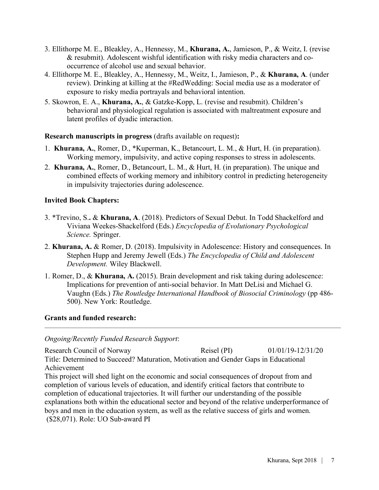- 3. Ellithorpe M. E., Bleakley, A., Hennessy, M., **Khurana, A.**, Jamieson, P., & Weitz, I. (revise & resubmit). Adolescent wishful identification with risky media characters and cooccurrence of alcohol use and sexual behavior.
- 4. Ellithorpe M. E., Bleakley, A., Hennessy, M., Weitz, I., Jamieson, P., & **Khurana, A**. (under review). Drinking at killing at the #RedWedding: Social media use as a moderator of exposure to risky media portrayals and behavioral intention.
- 5. Skowron, E. A., **Khurana, A.**, & Gatzke-Kopp, L. (revise and resubmit). Children's behavioral and physiological regulation is associated with maltreatment exposure and latent profiles of dyadic interaction.

**Research manuscripts in progress** (drafts available on request)**:** 

- 1. **Khurana, A.**, Romer, D., \*Kuperman, K., Betancourt, L. M., & Hurt, H. (in preparation). Working memory, impulsivity, and active coping responses to stress in adolescents.
- 2. **Khurana, A.**, Romer, D., Betancourt, L. M., & Hurt, H. (in preparation). The unique and combined effects of working memory and inhibitory control in predicting heterogeneity in impulsivity trajectories during adolescence.

# **Invited Book Chapters:**

- 3. \*Trevino, S.**.** & **Khurana, A**. (2018). Predictors of Sexual Debut. In Todd Shackelford and Viviana Weekes-Shackelford (Eds.) *Encyclopedia of Evolutionary Psychological Science.* Springer.
- 2. **Khurana, A.** & Romer, D. (2018). Impulsivity in Adolescence: History and consequences. In Stephen Hupp and Jeremy Jewell (Eds.) *The Encyclopedia of Child and Adolescent Development.* Wiley Blackwell.
- 1. Romer, D., & **Khurana, A.** (2015). Brain development and risk taking during adolescence: Implications for prevention of anti-social behavior. In Matt DeLisi and Michael G. Vaughn (Eds.) *The Routledge International Handbook of Biosocial Criminology* (pp 486- 500). New York: Routledge.

# **Grants and funded research:**

*Ongoing/Recently Funded Research Support*:

Research Council of Norway Reisel (PI) 01/01/19-12/31/20 Title: Determined to Succeed? Maturation, Motivation and Gender Gaps in Educational Achievement This project will shed light on the economic and social consequences of dropout from and completion of various levels of education, and identify critical factors that contribute to completion of educational trajectories. It will further our understanding of the possible explanations both within the educational sector and beyond of the relative underperformance of boys and men in the education system, as well as the relative success of girls and women. (\$28,071). Role: UO Sub-award PI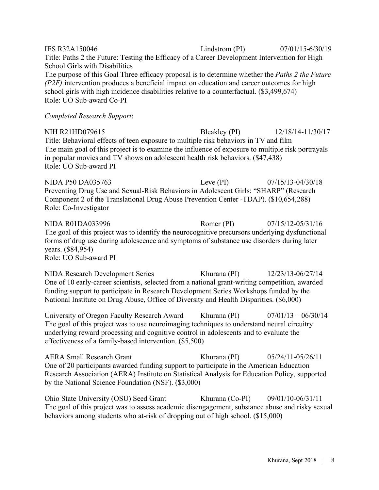| <b>IES R32A150046</b>                                                                                                                                                                                                                                                                                                         | Lindstrom (PI) | $07/01/15 - 6/30/19$  |
|-------------------------------------------------------------------------------------------------------------------------------------------------------------------------------------------------------------------------------------------------------------------------------------------------------------------------------|----------------|-----------------------|
| Title: Paths 2 the Future: Testing the Efficacy of a Career Development Intervention for High<br>School Girls with Disabilities                                                                                                                                                                                               |                |                       |
| The purpose of this Goal Three efficacy proposal is to determine whether the Paths 2 the Future                                                                                                                                                                                                                               |                |                       |
| $(P2F)$ intervention produces a beneficial impact on education and career outcomes for high<br>school girls with high incidence disabilities relative to a counterfactual. (\$3,499,674)<br>Role: UO Sub-award Co-PI                                                                                                          |                |                       |
| <b>Completed Research Support:</b>                                                                                                                                                                                                                                                                                            |                |                       |
| NIH R21HD079615<br>Title: Behavioral effects of teen exposure to multiple risk behaviors in TV and film<br>The main goal of this project is to examine the influence of exposure to multiple risk portrayals<br>in popular movies and TV shows on adolescent health risk behaviors. (\$47,438)<br>Role: UO Sub-award PI       | Bleakley (PI)  | 12/18/14-11/30/17     |
| <b>NIDA P50 DA035763</b><br>Preventing Drug Use and Sexual-Risk Behaviors in Adolescent Girls: "SHARP" (Research<br>Component 2 of the Translational Drug Abuse Prevention Center -TDAP). (\$10,654,288)<br>Role: Co-Investigator                                                                                             | Leve $(PI)$    | $07/15/13 - 04/30/18$ |
| <b>NIDA R01DA033996</b><br>The goal of this project was to identify the neurocognitive precursors underlying dysfunctional<br>forms of drug use during adolescence and symptoms of substance use disorders during later<br>years. (\$84,954)<br>Role: UO Sub-award PI                                                         | Romer (PI)     | $07/15/12 - 05/31/16$ |
| <b>NIDA Research Development Series</b><br>One of 10 early-career scientists, selected from a national grant-writing competition, awarded<br>funding support to participate in Research Development Series Workshops funded by the<br>National Institute on Drug Abuse, Office of Diversity and Health Disparities. (\$6,000) | Khurana (PI)   | 12/23/13-06/27/14     |

University of Oregon Faculty Research Award Khurana (PI) 07/01/13 – 06/30/14 The goal of this project was to use neuroimaging techniques to understand neural circuitry underlying reward processing and cognitive control in adolescents and to evaluate the effectiveness of a family-based intervention. (\$5,500)

AERA Small Research Grant Khurana (PI) 05/24/11-05/26/11 One of 20 participants awarded funding support to participate in the American Education Research Association (AERA) Institute on Statistical Analysis for Education Policy, supported by the National Science Foundation (NSF). (\$3,000)

Ohio State University (OSU) Seed Grant Khurana (Co-PI) 09/01/10-06/31/11 The goal of this project was to assess academic disengagement, substance abuse and risky sexual behaviors among students who at-risk of dropping out of high school. (\$15,000)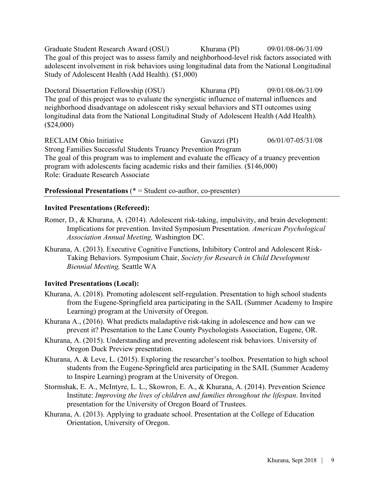Graduate Student Research Award (OSU) Khurana (PI) 09/01/08-06/31/09 The goal of this project was to assess family and neighborhood-level risk factors associated with adolescent involvement in risk behaviors using longitudinal data from the National Longitudinal Study of Adolescent Health (Add Health). (\$1,000)

Doctoral Dissertation Fellowship (OSU) Khurana (PI) 09/01/08-06/31/09 The goal of this project was to evaluate the synergistic influence of maternal influences and neighborhood disadvantage on adolescent risky sexual behaviors and STI outcomes using longitudinal data from the National Longitudinal Study of Adolescent Health (Add Health). (\$24,000)

RECLAIM Ohio Initiative Gavazzi (PI) 06/01/07-05/31/08 Strong Families Successful Students Truancy Prevention Program The goal of this program was to implement and evaluate the efficacy of a truancy prevention program with adolescents facing academic risks and their families. (\$146,000) Role: Graduate Research Associate

### **Professional Presentations** (\* = Student co-author, co-presenter)

### **Invited Presentations (Refereed):**

- Romer, D., & Khurana, A. (2014). Adolescent risk-taking, impulsivity, and brain development: Implications for prevention. Invited Symposium Presentation. *American Psychological Association Annual Meeting,* Washington DC.
- Khurana, A. (2013). Executive Cognitive Functions, Inhibitory Control and Adolescent Risk-Taking Behaviors. Symposium Chair, *Society for Research in Child Development Biennial Meeting,* Seattle WA

# **Invited Presentations (Local):**

- Khurana, A. (2018). Promoting adolescent self-regulation. Presentation to high school students from the Eugene-Springfield area participating in the SAIL (Summer Academy to Inspire Learning) program at the University of Oregon.
- Khurana A., (2016). What predicts maladaptive risk-taking in adolescence and how can we prevent it? Presentation to the Lane County Psychologists Association, Eugene, OR.
- Khurana, A. (2015). Understanding and preventing adolescent risk behaviors. University of Oregon Duck Preview presentation.
- Khurana, A. & Leve, L. (2015). Exploring the researcher's toolbox. Presentation to high school students from the Eugene-Springfield area participating in the SAIL (Summer Academy to Inspire Learning) program at the University of Oregon.
- Stormshak, E. A., McIntyre, L. L., Skowron, E. A., & Khurana, A. (2014). Prevention Science Institute: *Improving the lives of children and families throughout the lifespan*. Invited presentation for the University of Oregon Board of Trustees.
- Khurana, A. (2013). Applying to graduate school. Presentation at the College of Education Orientation, University of Oregon.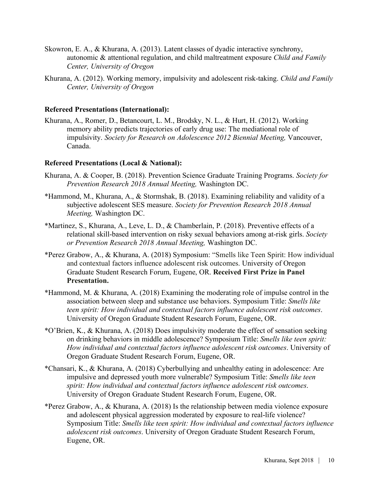- Skowron, E. A., & Khurana, A. (2013). Latent classes of dyadic interactive synchrony, autonomic & attentional regulation, and child maltreatment exposure *Child and Family Center, University of Oregon*
- Khurana, A. (2012). Working memory, impulsivity and adolescent risk-taking. *Child and Family Center, University of Oregon*

### **Refereed Presentations (International):**

Khurana, A., Romer, D., Betancourt, L. M., Brodsky, N. L., & Hurt, H. (2012). Working memory ability predicts trajectories of early drug use: The mediational role of impulsivity. *Society for Research on Adolescence 2012 Biennial Meeting,* Vancouver, Canada.

### **Refereed Presentations (Local & National):**

- Khurana, A. & Cooper, B. (2018). Prevention Science Graduate Training Programs. *Society for Prevention Research 2018 Annual Meeting,* Washington DC.
- \*Hammond, M., Khurana, A., & Stormshak, B. (2018). Examining reliability and validity of a subjective adolescent SES measure. *Society for Prevention Research 2018 Annual Meeting,* Washington DC.
- \*Martinez, S., Khurana, A., Leve, L. D., & Chamberlain, P. (2018). Preventive effects of a relational skill-based intervention on risky sexual behaviors among at-risk girls. *Society or Prevention Research 2018 Annual Meeting,* Washington DC.
- \*Perez Grabow, A., & Khurana, A. (2018) Symposium: "Smells like Teen Spirit: How individual and contextual factors influence adolescent risk outcomes. University of Oregon Graduate Student Research Forum, Eugene, OR. **Received First Prize in Panel Presentation.**
- \*Hammond, M. & Khurana, A. (2018) Examining the moderating role of impulse control in the association between sleep and substance use behaviors. Symposium Title: *Smells like teen spirit: How individual and contextual factors influence adolescent risk outcomes*. University of Oregon Graduate Student Research Forum, Eugene, OR.
- \*O'Brien, K., & Khurana, A. (2018) Does impulsivity moderate the effect of sensation seeking on drinking behaviors in middle adolescence? Symposium Title: *Smells like teen spirit: How individual and contextual factors influence adolescent risk outcomes*. University of Oregon Graduate Student Research Forum, Eugene, OR.
- \*Chansari, K., & Khurana, A. (2018) Cyberbullying and unhealthy eating in adolescence: Are impulsive and depressed youth more vulnerable? Symposium Title: *Smells like teen spirit: How individual and contextual factors influence adolescent risk outcomes*. University of Oregon Graduate Student Research Forum, Eugene, OR.
- \*Perez Grabow, A., & Khurana, A. (2018) Is the relationship between media violence exposure and adolescent physical aggression moderated by exposure to real-life violence? Symposium Title: *Smells like teen spirit: How individual and contextual factors influence adolescent risk outcomes*. University of Oregon Graduate Student Research Forum, Eugene, OR.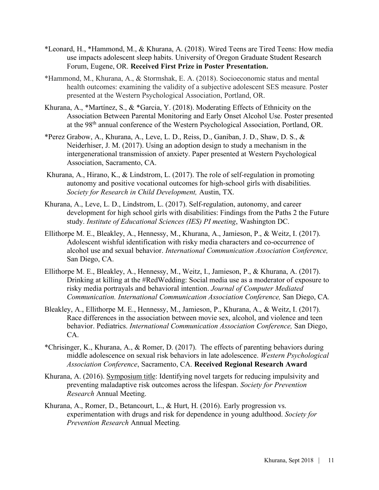- \*Leonard, H., \*Hammond, M., & Khurana, A. (2018). Wired Teens are Tired Teens: How media use impacts adolescent sleep habits. University of Oregon Graduate Student Research Forum, Eugene, OR. **Received First Prize in Poster Presentation.**
- \*Hammond, M., Khurana, A., & Stormshak, E. A. (2018). Socioeconomic status and mental health outcomes: examining the validity of a subjective adolescent SES measure*.* Poster presented at the Western Psychological Association, Portland, OR.
- Khurana, A., \*Martínez, S., & \*Garcia, Y. (2018). Moderating Effects of Ethnicity on the Association Between Parental Monitoring and Early Onset Alcohol Use. Poster presented at the 98th annual conference of the Western Psychological Association, Portland, OR.
- \*Perez Grabow, A., Khurana, A., Leve, L. D., Reiss, D., Ganiban, J. D., Shaw, D. S., & Neiderhiser, J. M. (2017). Using an adoption design to study a mechanism in the intergenerational transmission of anxiety. Paper presented at Western Psychological Association, Sacramento, CA.
- Khurana, A., Hirano, K., & Lindstrom, L. (2017). The role of self-regulation in promoting autonomy and positive vocational outcomes for high-school girls with disabilities. *Society for Research in Child Development,* Austin, TX.
- Khurana, A., Leve, L. D., Lindstrom, L. (2017). Self-regulation, autonomy, and career development for high school girls with disabilities: Findings from the Paths 2 the Future study. *Institute of Educational Sciences (IES) PI meeting*, Washington DC.
- Ellithorpe M. E., Bleakley, A., Hennessy, M., Khurana, A., Jamieson, P., & Weitz, I. (2017). Adolescent wishful identification with risky media characters and co-occurrence of alcohol use and sexual behavior. *International Communication Association Conference,*  San Diego, CA.
- Ellithorpe M. E., Bleakley, A., Hennessy, M., Weitz, I., Jamieson, P., & Khurana, A. (2017). Drinking at killing at the #RedWedding: Social media use as a moderator of exposure to risky media portrayals and behavioral intention. *Journal of Computer Mediated Communication. International Communication Association Conference,* San Diego, CA*.*
- Bleakley, A., Ellithorpe M. E., Hennessy, M., Jamieson, P., Khurana, A., & Weitz, I. (2017). Race differences in the association between movie sex, alcohol, and violence and teen behavior. Pediatrics. *International Communication Association Conference,* San Diego, CA.
- \*Chrisinger, K., Khurana, A., & Romer, D. (2017). The effects of parenting behaviors during middle adolescence on sexual risk behaviors in late adolescence. *Western Psychological Association Conference*, Sacramento, CA. **Received Regional Research Award**
- Khurana, A. (2016). Symposium title: Identifying novel targets for reducing impulsivity and preventing maladaptive risk outcomes across the lifespan. *Society for Prevention Research* Annual Meeting.
- Khurana, A., Romer, D., Betancourt, L., & Hurt, H. (2016). Early progression vs. experimentation with drugs and risk for dependence in young adulthood. *Society for Prevention Research* Annual Meeting*.*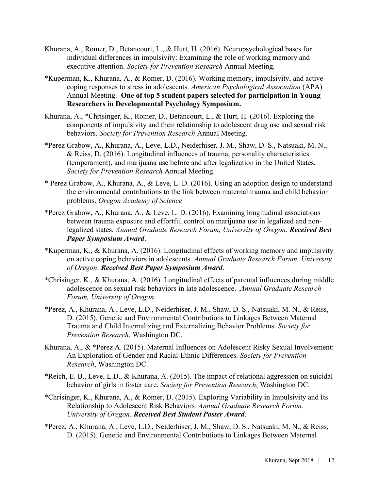- Khurana, A., Romer, D., Betancourt, L., & Hurt, H. (2016). Neuropsychological bases for individual differences in impulsivity: Examining the role of working memory and executive attention. *Society for Prevention Research* Annual Meeting*.*
- \*Kuperman, K., Khurana, A., & Romer, D. (2016). Working memory, impulsivity, and active coping responses to stress in adolescents. *American Psychological Association* (APA) Annual Meeting. **One of top 5 student papers selected for participation in Young Researchers in Developmental Psychology Symposium.**
- Khurana, A., \*Chrisinger, K., Romer, D., Betancourt, L., & Hurt, H. (2016). Exploring the components of impulsivity and their relationship to adolescent drug use and sexual risk behaviors. *Society for Prevention Research* Annual Meeting.
- \*Perez Grabow, A., Khurana, A., Leve, L.D., Neiderhiser, J. M., Shaw, D. S., Natsuaki, M. N., & Reiss, D. (2016). Longitudinal influences of trauma, personality characteristics (temperament), and marijuana use before and after legalization in the United States. *Society for Prevention Research* Annual Meeting.
- \* Perez Grabow, A., Khurana, A., & Leve, L. D. (2016). Using an adoption design to understand the environmental contributions to the link between maternal trauma and child behavior problems. *Oregon Academy of Science*
- \*Perez Grabow, A., Khurana, A., & Leve, L. D. (2016). Examining longitudinal associations between trauma exposure and effortful control on marijuana use in legalized and nonlegalized states. *Annual Graduate Research Forum, University of Oregon*. *Received Best Paper Symposium Award*.
- \*Kuperman, K., & Khurana, A. (2016). Longitudinal effects of working memory and impulsivity on active coping behaviors in adolescents. *Annual Graduate Research Forum, University of Oregon*. *Received Best Paper Symposium Award*.
- \*Chrisinger, K., & Khurana, A. (2016). Longitudinal effects of parental influences during middle adolescence on sexual risk behaviors in late adolescence. .*Annual Graduate Research Forum, University of Oregon*.
- \*Perez, A., Khurana, A., Leve, L.D., Neiderhiser, J. M., Shaw, D. S., Natsuaki, M. N., & Reiss, D. (2015). Genetic and Environmental Contributions to Linkages Between Maternal Trauma and Child Internalizing and Externalizing Behavior Problems. *Society for Prevention Research*, Washington DC.
- Khurana, A., & \*Perez A. (2015). Maternal Influences on Adolescent Risky Sexual Involvement: An Exploration of Gender and Racial-Ethnic Differences. *Society for Prevention Research*, Washington DC.
- \*Reich, E. B., Leve, L.D., & Khurana, A. (2015). The impact of relational aggression on suicidal behavior of girls in foster care. *Society for Prevention Research*, Washington DC.
- \*Chrisinger, K., Khurana, A., & Romer, D. (2015). Exploring Variability in Impulsivity and Its Relationship to Adolescent Risk Behaviors*. Annual Graduate Research Forum, University of Oregon*. *Received Best Student Poster Award*.
- \*Perez, A., Khurana, A., Leve, L.D., Neiderhiser, J. M., Shaw, D. S., Natsuaki, M. N., & Reiss, D. (2015). Genetic and Environmental Contributions to Linkages Between Maternal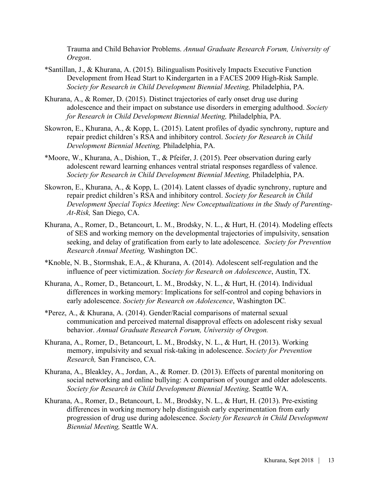Trauma and Child Behavior Problems. *Annual Graduate Research Forum, University of Oregon*.

- \*Santillan, J., & Khurana, A. (2015). Bilingualism Positively Impacts Executive Function Development from Head Start to Kindergarten in a FACES 2009 High-Risk Sample. *Society for Research in Child Development Biennial Meeting,* Philadelphia, PA.
- Khurana, A., & Romer, D. (2015). Distinct trajectories of early onset drug use during adolescence and their impact on substance use disorders in emerging adulthood. *Society for Research in Child Development Biennial Meeting,* Philadelphia, PA.
- Skowron, E., Khurana, A., & Kopp, L. (2015). Latent profiles of dyadic synchrony, rupture and repair predict children's RSA and inhibitory control. *Society for Research in Child Development Biennial Meeting,* Philadelphia, PA.
- \*Moore, W., Khurana, A., Dishion, T., & Pfeifer, J. (2015). Peer observation during early adolescent reward learning enhances ventral striatal responses regardless of valence. *Society for Research in Child Development Biennial Meeting,* Philadelphia, PA.
- Skowron, E., Khurana, A., & Kopp, L. (2014). Latent classes of dyadic synchrony, rupture and repair predict children's RSA and inhibitory control. *Society for Research in Child Development Special Topics Meeting*: *New Conceptualizations in the Study of Parenting-At-Risk,* San Diego, CA.
- Khurana, A., Romer, D., Betancourt, L. M., Brodsky, N. L., & Hurt, H. (2014). Modeling effects of SES and working memory on the developmental trajectories of impulsivity, sensation seeking, and delay of gratification from early to late adolescence. *Society for Prevention Research Annual Meeting,* Washington DC.
- \*Knoble, N. B., Stormshak, E.A., & Khurana, A. (2014). Adolescent self-regulation and the influence of peer victimization. *Society for Research on Adolescence*, Austin, TX.
- Khurana, A., Romer, D., Betancourt, L. M., Brodsky, N. L., & Hurt, H. (2014). Individual differences in working memory: Implications for self-control and coping behaviors in early adolescence. *Society for Research on Adolescence*, Washington DC*.*
- \*Perez, A., & Khurana, A. (2014). Gender/Racial comparisons of maternal sexual communication and perceived maternal disapproval effects on adolescent risky sexual behavior. *Annual Graduate Research Forum, University of Oregon.*
- Khurana, A., Romer, D., Betancourt, L. M., Brodsky, N. L., & Hurt, H. (2013). Working memory, impulsivity and sexual risk-taking in adolescence. *Society for Prevention Research,* San Francisco, CA.
- Khurana, A., Bleakley, A., Jordan, A., & Romer. D. (2013). Effects of parental monitoring on social networking and online bullying: A comparison of younger and older adolescents. *Society for Research in Child Development Biennial Meeting,* Seattle WA.
- Khurana, A., Romer, D., Betancourt, L. M., Brodsky, N. L., & Hurt, H. (2013). Pre-existing differences in working memory help distinguish early experimentation from early progression of drug use during adolescence. *Society for Research in Child Development Biennial Meeting,* Seattle WA.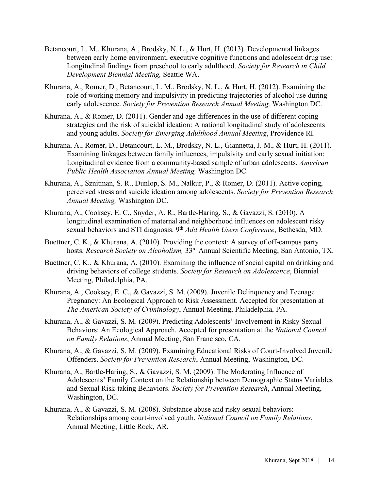- Betancourt, L. M., Khurana, A., Brodsky, N. L., & Hurt, H. (2013). Developmental linkages between early home environment, executive cognitive functions and adolescent drug use: Longitudinal findings from preschool to early adulthood. *Society for Research in Child Development Biennial Meeting,* Seattle WA.
- Khurana, A., Romer, D., Betancourt, L. M., Brodsky, N. L., & Hurt, H. (2012). Examining the role of working memory and impulsivity in predicting trajectories of alcohol use during early adolescence. *Society for Prevention Research Annual Meeting,* Washington DC.
- Khurana, A., & Romer, D. (2011). Gender and age differences in the use of different coping strategies and the risk of suicidal ideation: A national longitudinal study of adolescents and young adults. *Society for Emerging Adulthood Annual Meeting*, Providence RI.
- Khurana, A., Romer, D., Betancourt, L. M., Brodsky, N. L., Giannetta, J. M., & Hurt, H. (2011). Examining linkages between family influences, impulsivity and early sexual initiation: Longitudinal evidence from a community-based sample of urban adolescents. *American Public Health Association Annual Meeting,* Washington DC.
- Khurana, A., Sznitman, S. R., Dunlop, S. M., Nalkur, P., & Romer, D. (2011). Active coping, perceived stress and suicide ideation among adolescents. *Society for Prevention Research Annual Meeting,* Washington DC.
- Khurana, A., Cooksey, E. C., Snyder, A. R., Bartle-Haring, S., & Gavazzi, S. (2010). A longitudinal examination of maternal and neighborhood influences on adolescent risky sexual behaviors and STI diagnosis. 9th *Add Health Users Conference*, Bethesda, MD.
- Buettner, C. K., & Khurana, A. (2010). Providing the context: A survey of off-campus party hosts. *Research Society on Alcoholism,* 33rd Annual Scientific Meeting, San Antonio, TX.
- Buettner, C. K., & Khurana, A. (2010). Examining the influence of social capital on drinking and driving behaviors of college students. *Society for Research on Adolescence*, Biennial Meeting, Philadelphia, PA.
- Khurana, A., Cooksey, E. C., & Gavazzi, S. M. (2009). Juvenile Delinquency and Teenage Pregnancy: An Ecological Approach to Risk Assessment. Accepted for presentation at *The American Society of Criminology*, Annual Meeting, Philadelphia, PA.
- Khurana, A., & Gavazzi, S. M. (2009). Predicting Adolescents' Involvement in Risky Sexual Behaviors: An Ecological Approach. Accepted for presentation at the *National Council on Family Relations*, Annual Meeting, San Francisco, CA.
- Khurana, A., & Gavazzi, S. M. (2009). Examining Educational Risks of Court-Involved Juvenile Offenders. *Society for Prevention Research*, Annual Meeting, Washington, DC.
- Khurana, A., Bartle-Haring, S., & Gavazzi, S. M. (2009). The Moderating Influence of Adolescents' Family Context on the Relationship between Demographic Status Variables and Sexual Risk-taking Behaviors. *Society for Prevention Research*, Annual Meeting, Washington, DC.
- Khurana, A., & Gavazzi, S. M. (2008). Substance abuse and risky sexual behaviors: Relationships among court-involved youth. *National Council on Family Relations*, Annual Meeting, Little Rock, AR.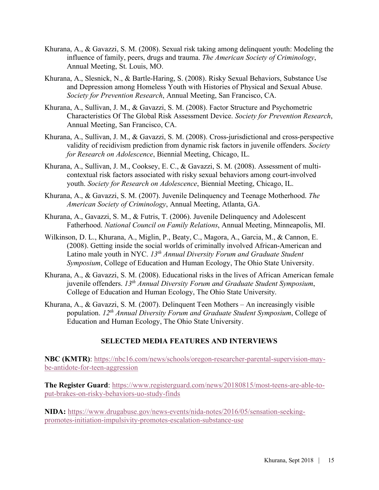- Khurana, A., & Gavazzi, S. M. (2008). Sexual risk taking among delinquent youth: Modeling the influence of family, peers, drugs and trauma. *The American Society of Criminology*, Annual Meeting, St. Louis, MO.
- Khurana, A., Slesnick, N., & Bartle-Haring, S. (2008). Risky Sexual Behaviors, Substance Use and Depression among Homeless Youth with Histories of Physical and Sexual Abuse. *Society for Prevention Research*, Annual Meeting, San Francisco, CA.
- Khurana, A., Sullivan, J. M., & Gavazzi, S. M. (2008). Factor Structure and Psychometric Characteristics Of The Global Risk Assessment Device. *Society for Prevention Research*, Annual Meeting, San Francisco, CA.
- Khurana, A., Sullivan, J. M., & Gavazzi, S. M. (2008). Cross-jurisdictional and cross-perspective validity of recidivism prediction from dynamic risk factors in juvenile offenders. *Society for Research on Adolescence*, Biennial Meeting, Chicago, IL.
- Khurana, A., Sullivan, J. M., Cooksey, E. C., & Gavazzi, S. M. (2008). Assessment of multicontextual risk factors associated with risky sexual behaviors among court-involved youth. *Society for Research on Adolescence*, Biennial Meeting, Chicago, IL.
- Khurana, A., & Gavazzi, S. M. (2007). Juvenile Delinquency and Teenage Motherhood. *The American Society of Criminology*, Annual Meeting, Atlanta, GA.
- Khurana, A., Gavazzi, S. M., & Futris, T. (2006). Juvenile Delinquency and Adolescent Fatherhood. *National Council on Family Relations*, Annual Meeting, Minneapolis, MI.
- Wilkinson, D. L., Khurana, A., Miglin, P., Beaty, C., Magora, A., Garcia, M., & Cannon, E. (2008). Getting inside the social worlds of criminally involved African-American and Latino male youth in NYC. *13th Annual Diversity Forum and Graduate Student Symposium*, College of Education and Human Ecology, The Ohio State University.
- Khurana, A., & Gavazzi, S. M. (2008). Educational risks in the lives of African American female juvenile offenders. *13th Annual Diversity Forum and Graduate Student Symposium*, College of Education and Human Ecology, The Ohio State University.
- Khurana, A., & Gavazzi, S. M. (2007). Delinquent Teen Mothers An increasingly visible population. *12th Annual Diversity Forum and Graduate Student Symposium*, College of Education and Human Ecology, The Ohio State University.

# **SELECTED MEDIA FEATURES AND INTERVIEWS**

**NBC (KMTR)**: https://nbc16.com/news/schools/oregon-researcher-parental-supervision-maybe-antidote-for-teen-aggression

**The Register Guard**: https://www.registerguard.com/news/20180815/most-teens-are-able-toput-brakes-on-risky-behaviors-uo-study-finds

**NIDA:** https://www.drugabuse.gov/news-events/nida-notes/2016/05/sensation-seekingpromotes-initiation-impulsivity-promotes-escalation-substance-use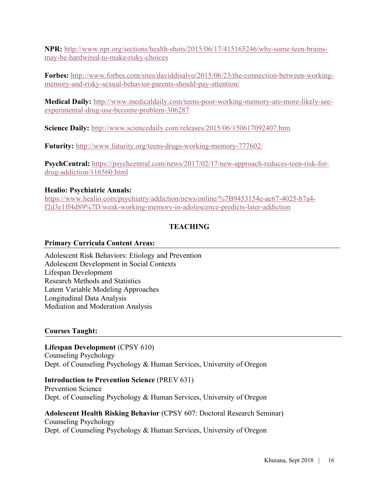**NPR:** http://www.npr.org/sections/health-shots/2015/06/17/415165246/why-some-teen-brainsmay-be-hardwired-to-make-risky-choices

**Forbes:** http://www.forbes.com/sites/daviddisalvo/2015/06/23/the-connection-between-workingmemory-and-risky-sexual-behavior-parents-should-pay-attention/

**Medical Daily:** http://www.medicaldaily.com/teens-poor-working-memory-are-more-likely-seeexperimental-drug-use-become-problem-306287

**Science Daily:** http://www.sciencedaily.com/releases/2015/06/150617092407.htm

**Futurity:** http://www.futurity.org/teens-drugs-working-memory-777602/

**PsychCentral:** https://psychcentral.com/news/2017/02/17/new-approach-reduces-teen-risk-fordrug-addiction/116560.html

# **Healio: Psychiatric Annals:**

https://www.healio.com/psychiatry/addiction/news/online/%7B9453154e-ac67-4025-b7a4 f2d3e1ff4d89%7D/weak-working-memory-in-adolescence-predicts-later-addiction

# **TEACHING**

# **Primary Curricula Content Areas:**

Adolescent Risk Behaviors: Etiology and Prevention Adolescent Development in Social Contexts Lifespan Development Research Methods and Statistics Latent Variable Modeling Approaches Longitudinal Data Analysis Mediation and Moderation Analysis

# **Courses Taught:**

**Lifespan Development** (CPSY 610) Counseling Psychology Dept. of Counseling Psychology & Human Services, University of Oregon

# **Introduction to Prevention Science** (PREV 631)

Prevention Science Dept. of Counseling Psychology & Human Services, University of Oregon

# **Adolescent Health Risking Behavior** (CPSY 607: Doctoral Research Seminar)

Counseling Psychology Dept. of Counseling Psychology & Human Services, University of Oregon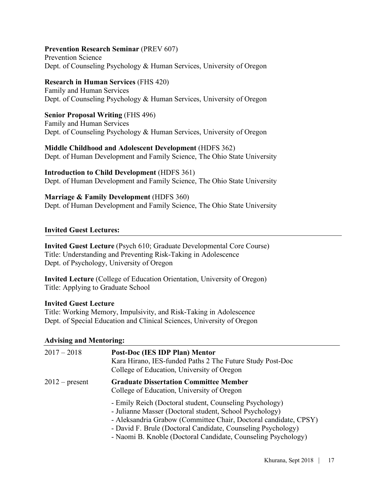### **Prevention Research Seminar** (PREV 607)

Prevention Science Dept. of Counseling Psychology & Human Services, University of Oregon

### **Research in Human Services** (FHS 420)

Family and Human Services Dept. of Counseling Psychology & Human Services, University of Oregon

## **Senior Proposal Writing** (FHS 496)

Family and Human Services Dept. of Counseling Psychology & Human Services, University of Oregon

### **Middle Childhood and Adolescent Development** (HDFS 362)

Dept. of Human Development and Family Science, The Ohio State University

# **Introduction to Child Development** (HDFS 361)

Dept. of Human Development and Family Science, The Ohio State University

# **Marriage & Family Development** (HDFS 360)

Dept. of Human Development and Family Science, The Ohio State University

# **Invited Guest Lectures:**

**Invited Guest Lecture** (Psych 610; Graduate Developmental Core Course) Title: Understanding and Preventing Risk-Taking in Adolescence Dept. of Psychology, University of Oregon

**Invited Lecture** (College of Education Orientation, University of Oregon) Title: Applying to Graduate School

## **Invited Guest Lecture**

Title: Working Memory, Impulsivity, and Risk-Taking in Adolescence Dept. of Special Education and Clinical Sciences, University of Oregon

# **Advising and Mentoring:**

| $2017 - 2018$    | Post-Doc (IES IDP Plan) Mentor<br>Kara Hirano, IES-funded Paths 2 The Future Study Post-Doc<br>College of Education, University of Oregon                                                                                                                                                                               |
|------------------|-------------------------------------------------------------------------------------------------------------------------------------------------------------------------------------------------------------------------------------------------------------------------------------------------------------------------|
| $2012$ – present | <b>Graduate Dissertation Committee Member</b><br>College of Education, University of Oregon                                                                                                                                                                                                                             |
|                  | - Emily Reich (Doctoral student, Counseling Psychology)<br>- Julianne Masser (Doctoral student, School Psychology)<br>- Aleksandria Grabow (Committee Chair, Doctoral candidate, CPSY)<br>- David F. Brule (Doctoral Candidate, Counseling Psychology)<br>- Naomi B. Knoble (Doctoral Candidate, Counseling Psychology) |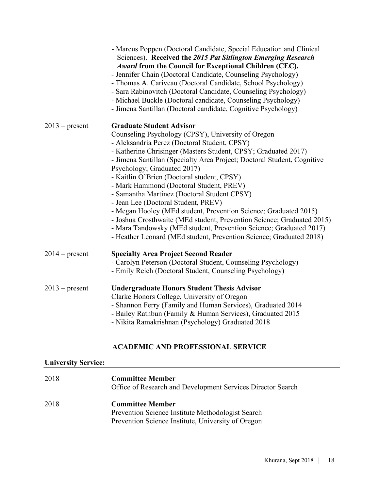|                  | - Marcus Poppen (Doctoral Candidate, Special Education and Clinical<br>Sciences). Received the 2015 Pat Sitlington Emerging Research<br>Award from the Council for Exceptional Children (CEC).<br>- Jennifer Chain (Doctoral Candidate, Counseling Psychology)<br>- Thomas A. Cariveau (Doctoral Candidate, School Psychology)<br>- Sara Rabinovitch (Doctoral Candidate, Counseling Psychology)<br>- Michael Buckle (Doctoral candidate, Counseling Psychology)<br>- Jimena Santillan (Doctoral candidate, Cognitive Psychology)                                                                                                                                                                                                                                                           |
|------------------|---------------------------------------------------------------------------------------------------------------------------------------------------------------------------------------------------------------------------------------------------------------------------------------------------------------------------------------------------------------------------------------------------------------------------------------------------------------------------------------------------------------------------------------------------------------------------------------------------------------------------------------------------------------------------------------------------------------------------------------------------------------------------------------------|
| $2013$ – present | <b>Graduate Student Advisor</b><br>Counseling Psychology (CPSY), University of Oregon<br>- Aleksandria Perez (Doctoral Student, CPSY)<br>- Katherine Chrisinger (Masters Student, CPSY; Graduated 2017)<br>- Jimena Santillan (Specialty Area Project; Doctoral Student, Cognitive<br>Psychology; Graduated 2017)<br>- Kaitlin O'Brien (Doctoral student, CPSY)<br>- Mark Hammond (Doctoral Student, PREV)<br>- Samantha Martinez (Doctoral Student CPSY)<br>- Jean Lee (Doctoral Student, PREV)<br>- Megan Hooley (MEd student, Prevention Science; Graduated 2015)<br>- Joshua Crosthwaite (MEd student, Prevention Science; Graduated 2015)<br>- Mara Tandowsky (MEd student, Prevention Science; Graduated 2017)<br>- Heather Leonard (MEd student, Prevention Science; Graduated 2018) |
| $2014$ – present | <b>Specialty Area Project Second Reader</b><br>- Carolyn Peterson (Doctoral Student, Counseling Psychology)<br>- Emily Reich (Doctoral Student, Counseling Psychology)                                                                                                                                                                                                                                                                                                                                                                                                                                                                                                                                                                                                                      |
| $2013$ – present | <b>Undergraduate Honors Student Thesis Advisor</b><br>Clarke Honors College, University of Oregon<br>- Shannon Ferry (Family and Human Services), Graduated 2014<br>- Bailey Rathbun (Family & Human Services), Graduated 2015<br>- Nikita Ramakrishnan (Psychology) Graduated 2018                                                                                                                                                                                                                                                                                                                                                                                                                                                                                                         |

# **ACADEMIC AND PROFESSIONAL SERVICE**

# **University Service:**

| 2018 | <b>Committee Member</b><br>Office of Research and Development Services Director Search                                             |
|------|------------------------------------------------------------------------------------------------------------------------------------|
| 2018 | <b>Committee Member</b><br>Prevention Science Institute Methodologist Search<br>Prevention Science Institute, University of Oregon |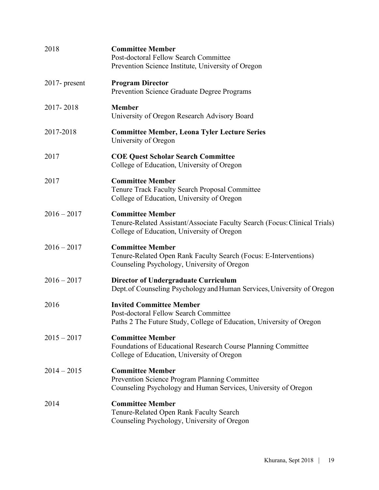| 2018             | <b>Committee Member</b><br>Post-doctoral Fellow Search Committee<br>Prevention Science Institute, University of Oregon                              |
|------------------|-----------------------------------------------------------------------------------------------------------------------------------------------------|
| $2017$ - present | <b>Program Director</b><br>Prevention Science Graduate Degree Programs                                                                              |
| 2017-2018        | <b>Member</b><br>University of Oregon Research Advisory Board                                                                                       |
| 2017-2018        | <b>Committee Member, Leona Tyler Lecture Series</b><br>University of Oregon                                                                         |
| 2017             | <b>COE Quest Scholar Search Committee</b><br>College of Education, University of Oregon                                                             |
| 2017             | <b>Committee Member</b><br>Tenure Track Faculty Search Proposal Committee<br>College of Education, University of Oregon                             |
| $2016 - 2017$    | <b>Committee Member</b><br>Tenure-Related Assistant/Associate Faculty Search (Focus: Clinical Trials)<br>College of Education, University of Oregon |
| $2016 - 2017$    | <b>Committee Member</b><br>Tenure-Related Open Rank Faculty Search (Focus: E-Interventions)<br>Counseling Psychology, University of Oregon          |
| $2016 - 2017$    | <b>Director of Undergraduate Curriculum</b><br>Dept. of Counseling Psychology and Human Services, University of Oregon                              |
| 2016             | <b>Invited Committee Member</b><br>Post-doctoral Fellow Search Committee<br>Paths 2 The Future Study, College of Education, University of Oregon    |
| $2015 - 2017$    | <b>Committee Member</b><br>Foundations of Educational Research Course Planning Committee<br>College of Education, University of Oregon              |
| $2014 - 2015$    | <b>Committee Member</b><br>Prevention Science Program Planning Committee<br>Counseling Psychology and Human Services, University of Oregon          |
| 2014             | <b>Committee Member</b><br>Tenure-Related Open Rank Faculty Search<br>Counseling Psychology, University of Oregon                                   |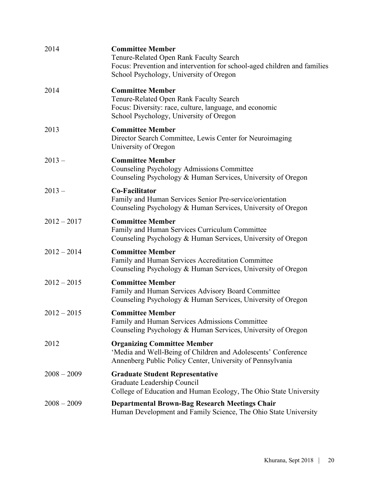| 2014          | <b>Committee Member</b><br>Tenure-Related Open Rank Faculty Search<br>Focus: Prevention and intervention for school-aged children and families<br>School Psychology, University of Oregon |
|---------------|-------------------------------------------------------------------------------------------------------------------------------------------------------------------------------------------|
| 2014          | <b>Committee Member</b><br>Tenure-Related Open Rank Faculty Search<br>Focus: Diversity: race, culture, language, and economic<br>School Psychology, University of Oregon                  |
| 2013          | <b>Committee Member</b><br>Director Search Committee, Lewis Center for Neuroimaging<br>University of Oregon                                                                               |
| $2013 -$      | <b>Committee Member</b><br><b>Counseling Psychology Admissions Committee</b><br>Counseling Psychology & Human Services, University of Oregon                                              |
| $2013 -$      | <b>Co-Facilitator</b><br>Family and Human Services Senior Pre-service/orientation<br>Counseling Psychology & Human Services, University of Oregon                                         |
| $2012 - 2017$ | <b>Committee Member</b><br>Family and Human Services Curriculum Committee<br>Counseling Psychology & Human Services, University of Oregon                                                 |
| $2012 - 2014$ | <b>Committee Member</b><br>Family and Human Services Accreditation Committee<br>Counseling Psychology & Human Services, University of Oregon                                              |
| $2012 - 2015$ | <b>Committee Member</b><br>Family and Human Services Advisory Board Committee<br>Counseling Psychology & Human Services, University of Oregon                                             |
| $2012 - 2015$ | <b>Committee Member</b><br>Family and Human Services Admissions Committee<br>Counseling Psychology & Human Services, University of Oregon                                                 |
| 2012          | <b>Organizing Committee Member</b><br>'Media and Well-Being of Children and Adolescents' Conference<br>Annenberg Public Policy Center, University of Pennsylvania                         |
| $2008 - 2009$ | <b>Graduate Student Representative</b><br>Graduate Leadership Council<br>College of Education and Human Ecology, The Ohio State University                                                |
| $2008 - 2009$ | <b>Departmental Brown-Bag Research Meetings Chair</b><br>Human Development and Family Science, The Ohio State University                                                                  |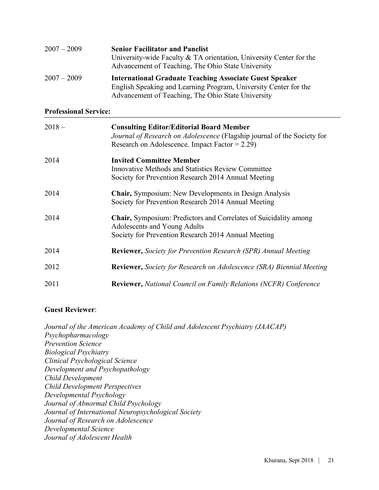| $2007 - 2009$ | <b>Senior Facilitator and Panelist</b><br>University-wide Faculty $&TA$ orientation, University Center for the<br>Advancement of Teaching, The Ohio State University                     |
|---------------|------------------------------------------------------------------------------------------------------------------------------------------------------------------------------------------|
| $2007 - 2009$ | <b>International Graduate Teaching Associate Guest Speaker</b><br>English Speaking and Learning Program, University Center for the<br>Advancement of Teaching, The Ohio State University |

### **Professional Service:**

| $2018 -$ | <b>Consulting Editor/Editorial Board Member</b><br>Journal of Research on Adolescence (Flagship journal of the Society for<br>Research on Adolescence. Impact Factor = $2.29$ ) |
|----------|---------------------------------------------------------------------------------------------------------------------------------------------------------------------------------|
| 2014     | <b>Invited Committee Member</b><br><b>Innovative Methods and Statistics Review Committee</b><br>Society for Prevention Research 2014 Annual Meeting                             |
| 2014     | <b>Chair, Symposium: New Developments in Design Analysis</b><br>Society for Prevention Research 2014 Annual Meeting                                                             |
| 2014     | <b>Chair, Symposium: Predictors and Correlates of Suicidality among</b><br>Adolescents and Young Adults<br>Society for Prevention Research 2014 Annual Meeting                  |
| 2014     | <b>Reviewer, Society for Prevention Research (SPR) Annual Meeting</b>                                                                                                           |
| 2012     | <b>Reviewer,</b> Society for Research on Adolescence (SRA) Biennial Meeting                                                                                                     |
| 2011     | <b>Reviewer, National Council on Family Relations (NCFR) Conference</b>                                                                                                         |

### **Guest Reviewer**:

*Journal of the American Academy of Child and Adolescent Psychiatry (JAACAP) Psychopharmacology Prevention Science Biological Psychiatry Clinical Psychological Science Development and Psychopathology Child Development Child Development Perspectives Developmental Psychology Journal of Abnormal Child Psychology Journal of International Neuropsychological Society Journal of Research on Adolescence Developmental Science Journal of Adolescent Health*